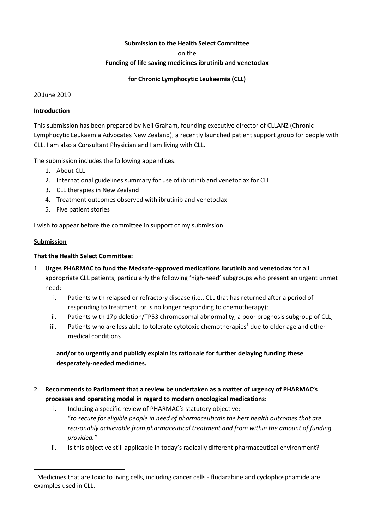## **Submission to the Health Select Committee**

on the

#### **Funding of life saving medicines ibrutinib and venetoclax**

**for Chronic Lymphocytic Leukaemia (CLL)**

20 June 2019

#### **Introduction**

This submission has been prepared by Neil Graham, founding executive director of CLLANZ (Chronic Lymphocytic Leukaemia Advocates New Zealand), a recently launched patient support group for people with CLL. I am also a Consultant Physician and I am living with CLL.

The submission includes the following appendices:

- 1. About CLL
- 2. International guidelines summary for use of ibrutinib and venetoclax for CLL
- 3. CLL therapies in New Zealand
- 4. Treatment outcomes observed with ibrutinib and venetoclax
- 5. Five patient stories

I wish to appear before the committee in support of my submission.

## **Submission**

 $\overline{a}$ 

## **That the Health Select Committee:**

- 1. **Urges PHARMAC to fund the Medsafe-approved medications ibrutinib and venetoclax** for all appropriate CLL patients, particularly the following 'high-need' subgroups who present an urgent unmet need:
	- i. Patients with relapsed or refractory disease (i.e., CLL that has returned after a period of responding to treatment, or is no longer responding to chemotherapy);
	- ii. Patients with 17p deletion/TP53 chromosomal abnormality, a poor prognosis subgroup of CLL;
	- iii. Patients who are less able to tolerate cytotoxic chemotherapies<sup>1</sup> due to older age and other medical conditions

**and/or to urgently and publicly explain its rationale for further delaying funding these desperately-needed medicines.**

- 2. **Recommends to Parliament that a review be undertaken as a matter of urgency of PHARMAC's processes and operating model in regard to modern oncological medications**:
	- i. Including a specific review of PHARMAC's statutory objective:
	- "*to secure for eligible people in need of pharmaceuticals the best health outcomes that are reasonably achievable from pharmaceutical treatment and from within the amount of funding provided."*
	- ii. Is this objective still applicable in today's radically different pharmaceutical environment?

<sup>&</sup>lt;sup>1</sup> Medicines that are toxic to living cells, including cancer cells - fludarabine and cyclophosphamide are examples used in CLL.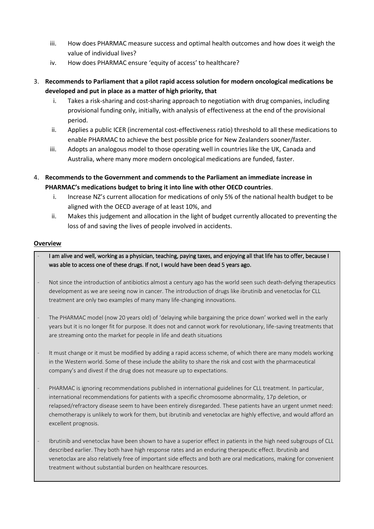- iii. How does PHARMAC measure success and optimal health outcomes and how does it weigh the value of individual lives?
- iv. How does PHARMAC ensure 'equity of access' to healthcare?
- 3. **Recommends to Parliament that a pilot rapid access solution for modern oncological medications be developed and put in place as a matter of high priority, that**
	- i. Takes a risk-sharing and cost-sharing approach to negotiation with drug companies, including provisional funding only, initially, with analysis of effectiveness at the end of the provisional period.
	- ii. Applies a public ICER (incremental cost-effectiveness ratio) threshold to all these medications to enable PHARMAC to achieve the best possible price for New Zealanders sooner/faster.
	- iii. Adopts an analogous model to those operating well in countries like the UK, Canada and Australia, where many more modern oncological medications are funded, faster.
- 4. **Recommends to the Government and commends to the Parliament an immediate increase in PHARMAC's medications budget to bring it into line with other OECD countries**.
	- i. Increase NZ's current allocation for medications of only 5% of the national health budget to be aligned with the OECD average of at least 10%, and
	- ii. Makes this judgement and allocation in the light of budget currently allocated to preventing the loss of and saving the lives of people involved in accidents.

## **Overview**

I am alive and well, working as a physician, teaching, paying taxes, and enjoying all that life has to offer, because I was able to access one of these drugs. If not, I would have been dead 5 years ago.

- Not since the introduction of antibiotics almost a century ago has the world seen such death-defying therapeutics development as we are seeing now in cancer. The introduction of drugs like ibrutinib and venetoclax for CLL treatment are only two examples of many many life-changing innovations.
- The PHARMAC model (now 20 years old) of 'delaying while bargaining the price down' worked well in the early years but it is no longer fit for purpose. It does not and cannot work for revolutionary, life-saving treatments that are streaming onto the market for people in life and death situations
- It must change or it must be modified by adding a rapid access scheme, of which there are many models working in the Western world. Some of these include the ability to share the risk and cost with the pharmaceutical company's and divest if the drug does not measure up to expectations.
- PHARMAC is ignoring recommendations published in international guidelines for CLL treatment. In particular, international recommendations for patients with a specific chromosome abnormality, 17p deletion, or relapsed/refractory disease seem to have been entirely disregarded. These patients have an urgent unmet need: chemotherapy is unlikely to work for them, but ibrutinib and venetoclax are highly effective, and would afford an excellent prognosis.
- Ibrutinib and venetoclax have been shown to have a superior effect in patients in the high need subgroups of CLL described earlier. They both have high response rates and an enduring therapeutic effect. Ibrutinib and venetoclax are also relatively free of important side effects and both are oral medications, making for convenient treatment without substantial burden on healthcare resources.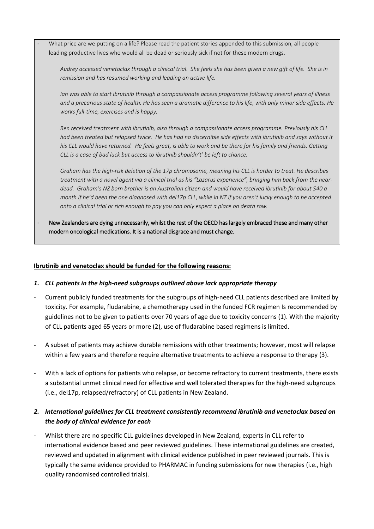What price are we putting on a life? Please read the patient stories appended to this submission, all people leading productive lives who would all be dead or seriously sick if not for these modern drugs.

*Audrey accessed venetoclax through a clinical trial. She feels she has been given a new gift of life. She is in remission and has resumed working and leading an active life.*

*Ian was able to start ibrutinib through a compassionate access programme following several years of illness and a precarious state of health. He has seen a dramatic difference to his life, with only minor side effects. He works full-time, exercises and is happy.*

*Ben received treatment with ibrutinib, also through a compassionate access programme. Previously his CLL had been treated but relapsed twice. He has had no discernible side effects with ibrutinib and says without it his CLL would have returned. He feels great, is able to work and be there for his family and friends. Getting CLL is a case of bad luck but access to ibrutinib shouldn't' be left to chance.* 

*Graham has the high-risk deletion of the 17p chromosome, meaning his CLL is harder to treat. He describes treatment with a novel agent via a clinical trial as his "Lazarus experience", bringing him back from the neardead. Graham's NZ born brother is an Australian citizen and would have received ibrutinib for about \$40 a month if he'd been the one diagnosed with del17p CLL, while in NZ if you aren't lucky enough to be accepted onto a clinical trial or rich enough to pay you can only expect a place on death row.* 

New Zealanders are dying unnecessarily, whilst the rest of the OECD has largely embraced these and many other modern oncological medications. It is a national disgrace and must change.

#### **Ibrutinib and venetoclax should be funded for the following reasons:**

#### *1. CLL patients in the high-need subgroups outlined above lack appropriate therapy*

- Current publicly funded treatments for the subgroups of high-need CLL patients described are limited by toxicity. For example, fludarabine, a chemotherapy used in the funded FCR regimen Is recommended by guidelines not to be given to patients over 70 years of age due to toxicity concerns (1). With the majority of CLL patients aged 65 years or more (2), use of fludarabine based regimens is limited.
- A subset of patients may achieve durable remissions with other treatments; however, most will relapse within a few years and therefore require alternative treatments to achieve a response to therapy (3).
- With a lack of options for patients who relapse, or become refractory to current treatments, there exists a substantial unmet clinical need for effective and well tolerated therapies for the high-need subgroups (i.e., del17p, relapsed/refractory) of CLL patients in New Zealand.

# *2. International guidelines for CLL treatment consistently recommend ibrutinib and venetoclax based on the body of clinical evidence for each*

- Whilst there are no specific CLL guidelines developed in New Zealand, experts in CLL refer to international evidence based and peer reviewed guidelines. These international guidelines are created, reviewed and updated in alignment with clinical evidence published in peer reviewed journals. This is typically the same evidence provided to PHARMAC in funding submissions for new therapies (i.e., high quality randomised controlled trials).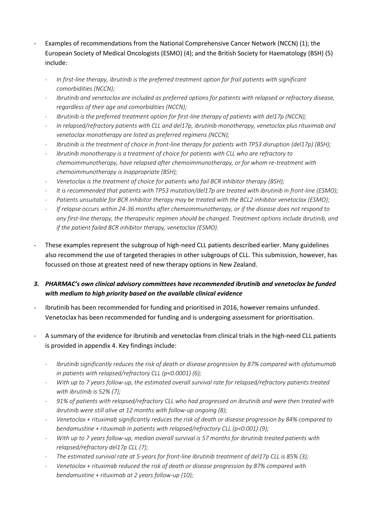- Examples of recommendations from the National Comprehensive Cancer Network (NCCN) (1); the European Society of Medical Oncologists (ESMO) (4); and the British Society for Haematology (BSH) (5) include:
	- *In first-line therapy, ibrutinib is the preferred treatment option for frail patients with significant comorbidities (NCCN);*
	- *Ibrutinib and venetoclax are included as preferred options for patients with relapsed or refractory disease, regardless of their age and comorbidities (NCCN);*
	- *Ibrutinib is the preferred treatment option for first-line therapy of patients with del17p (NCCN);*
	- *In relapsed/refractory patients with CLL and del17p, ibrutinib monotherapy, venetoclax plus rituximab and venetoclax monotherapy are listed as preferred regimens (NCCN);*
	- *Ibrutinib is the treatment of choice in front-line therapy for patients with TP53 disruption (del17p) (BSH);*
	- *Ibrutinib monotherapy is a treatment of choice for patients with CLL who are refractory to chemoimmunotherapy, have relapsed after chemoimmunotherapy, or for whom re-treatment with chemoimmunotherapy is inappropriate (BSH);*
	- *Venetoclax is the treatment of choice for patients who fail BCR inhibitor therapy (BSH);*
	- *It is recommended that patients with TP53 mutation/del17p are treated with ibrutinib in front-line (ESMO);*
	- *Patients unsuitable for BCR inhibitor therapy may be treated with the BCL2 inhibitor venetoclax (ESMO);*
	- *If relapse occurs within 24-36 months after chemoimmunotherapy, or if the disease does not respond to any first-line therapy, the therapeutic regimen should be changed. Treatment options include ibrutinib, and if the patient failed BCR inhibitor therapy, venetoclax (ESMO).*
- These examples represent the subgroup of high-need CLL patients described earlier. Many guidelines also recommend the use of targeted therapies in other subgroups of CLL. This submission, however, has focussed on those at greatest need of new therapy options in New Zealand.

# *3. PHARMAC's own clinical advisory committees have recommended ibrutinib and venetoclax be funded with medium to high priority based on the available clinical evidence*

- Ibrutinib has been recommended for funding and prioritised in 2016, however remains unfunded. Venetoclax has been recommended for funding and is undergoing assessment for prioritisation.
- A summary of the evidence for ibrutinib and venetoclax from clinical trials in the high-need CLL patients is provided in appendix 4. Key findings include:
	- *Ibrutinib significantly reduces the risk of death or disease progression by 87% compared with ofatumumab in patients with relapsed/refractory CLL (p<0.0001) (6);*
	- *With up to 7 years follow-up, the estimated overall survival rate for relapsed/refractory patients treated with ibrutinib is 52% (7);*
	- *91% of patients with relapsed/refractory CLL who had progressed on ibrutinib and were then treated with ibrutinib were still alive at 12 months with follow-up ongoing (8);*
	- *Venetoclax + rituximab significantly reduces the risk of death or disease progression by 84% compared to bendamustine + rituximab in patients with relapsed/refractory CLL (p<0.001) (9);*
	- *With up to 7 years follow-up, median overall survival is 57 months for ibrutinib treated patients with relapsed/refractory del17p CLL (7);*
	- *The estimated survival rate at 5-years for front-line ibrutinib treatment of del17p CLL is 85% (3);*
	- *Venetoclax + rituximab reduced the risk of death or disease progression by 87% compared with bendamustine + rituximab at 2 years follow-up (10);*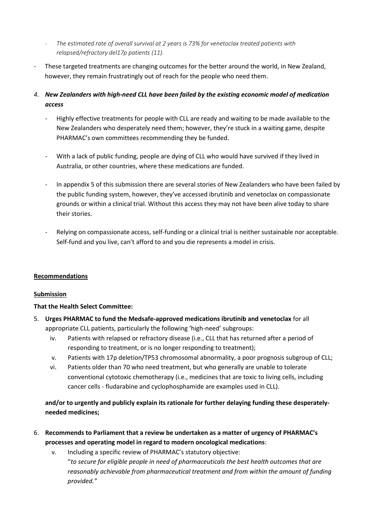- *The estimated rate of overall survival at 2 years is 73% for venetoclax treated patients with relapsed/refractory del17p patients (11).*
- These targeted treatments are changing outcomes for the better around the world, in New Zealand, however, they remain frustratingly out of reach for the people who need them.
- *4. New Zealanders with high-need CLL have been failed by the existing economic model of medication access* 
	- Highly effective treatments for people with CLL are ready and waiting to be made available to the New Zealanders who desperately need them; however, they're stuck in a waiting game, despite PHARMAC's own committees recommending they be funded.
	- With a lack of public funding, people are dying of CLL who would have survived if they lived in Australia, or other countries, where these medications are funded.
	- In appendix 5 of this submission there are several stories of New Zealanders who have been failed by the public funding system, however, they've accessed ibrutinib and venetoclax on compassionate grounds or within a clinical trial. Without this access they may not have been alive today to share their stories.
	- Relying on compassionate access, self-funding or a clinical trial is neither sustainable nor acceptable. Self-fund and you live, can't afford to and you die represents a model in crisis.

# **Recommendations**

# **Submission**

# **That the Health Select Committee:**

- 5. **Urges PHARMAC to fund the Medsafe-approved medications ibrutinib and venetoclax** for all appropriate CLL patients, particularly the following 'high-need' subgroups:
	- iv. Patients with relapsed or refractory disease (i.e., CLL that has returned after a period of responding to treatment, or is no longer responding to treatment);
	- v. Patients with 17p deletion/TP53 chromosomal abnormality, a poor prognosis subgroup of CLL;
	- vi. Patients older than 70 who need treatment, but who generally are unable to tolerate conventional cytotoxic chemotherapy (i.e., medicines that are toxic to living cells, including cancer cells - fludarabine and cyclophosphamide are examples used in CLL).

# **and/or to urgently and publicly explain its rationale for further delaying funding these desperatelyneeded medicines;**

- 6. **Recommends to Parliament that a review be undertaken as a matter of urgency of PHARMAC's processes and operating model in regard to modern oncological medications**:
	- v. Including a specific review of PHARMAC's statutory objective: "*to secure for eligible people in need of pharmaceuticals the best health outcomes that are reasonably achievable from pharmaceutical treatment and from within the amount of funding provided."*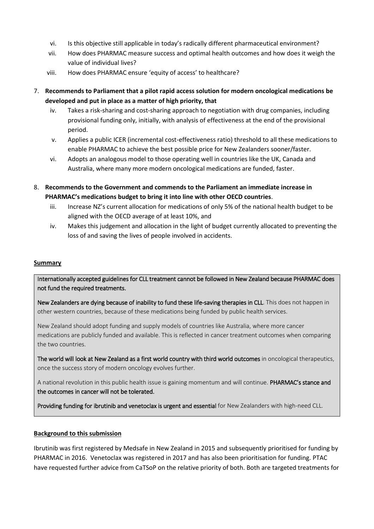- vi. Is this objective still applicable in today's radically different pharmaceutical environment?
- vii. How does PHARMAC measure success and optimal health outcomes and how does it weigh the value of individual lives?
- viii. How does PHARMAC ensure 'equity of access' to healthcare?
- 7. **Recommends to Parliament that a pilot rapid access solution for modern oncological medications be developed and put in place as a matter of high priority, that**
	- iv. Takes a risk-sharing and cost-sharing approach to negotiation with drug companies, including provisional funding only, initially, with analysis of effectiveness at the end of the provisional period.
	- v. Applies a public ICER (incremental cost-effectiveness ratio) threshold to all these medications to enable PHARMAC to achieve the best possible price for New Zealanders sooner/faster.
	- vi. Adopts an analogous model to those operating well in countries like the UK, Canada and Australia, where many more modern oncological medications are funded, faster.
- 8. **Recommends to the Government and commends to the Parliament an immediate increase in PHARMAC's medications budget to bring it into line with other OECD countries**.
	- iii. Increase NZ's current allocation for medications of only 5% of the national health budget to be aligned with the OECD average of at least 10%, and
	- iv. Makes this judgement and allocation in the light of budget currently allocated to preventing the loss of and saving the lives of people involved in accidents.

# **Summary**

Internationally accepted guidelines for CLL treatment cannot be followed in New Zealand because PHARMAC does not fund the required treatments.

New Zealanders are dying because of inability to fund these life-saving therapies in CLL. This does not happen in other western countries, because of these medications being funded by public health services.

New Zealand should adopt funding and supply models of countries like Australia, where more cancer medications are publicly funded and available. This is reflected in cancer treatment outcomes when comparing the two countries.

The world will look at New Zealand as a first world country with third world outcomes in oncological therapeutics, once the success story of modern oncology evolves further.

A national revolution in this public health issue is gaining momentum and will continue. **PHARMAC's stance and** the outcomes in cancer will not be tolerated.

Providing funding for ibrutinib and venetoclax is urgent and essential for New Zealanders with high-need CLL.

# **Background to this submission**

Ibrutinib was first registered by Medsafe in New Zealand in 2015 and subsequently prioritised for funding by PHARMAC in 2016. Venetoclax was registered in 2017 and has also been prioritisation for funding. PTAC have requested further advice from CaTSoP on the relative priority of both. Both are targeted treatments for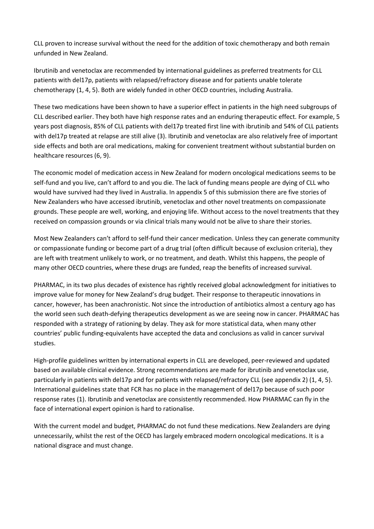CLL proven to increase survival without the need for the addition of toxic chemotherapy and both remain unfunded in New Zealand.

Ibrutinib and venetoclax are recommended by international guidelines as preferred treatments for CLL patients with del17p, patients with relapsed/refractory disease and for patients unable tolerate chemotherapy (1, 4, 5). Both are widely funded in other OECD countries, including Australia.

These two medications have been shown to have a superior effect in patients in the high need subgroups of CLL described earlier. They both have high response rates and an enduring therapeutic effect. For example, 5 years post diagnosis, 85% of CLL patients with del17p treated first line with ibrutinib and 54% of CLL patients with del17p treated at relapse are still alive (3). Ibrutinib and venetoclax are also relatively free of important side effects and both are oral medications, making for convenient treatment without substantial burden on healthcare resources (6, 9).

The economic model of medication access in New Zealand for modern oncological medications seems to be self-fund and you live, can't afford to and you die. The lack of funding means people are dying of CLL who would have survived had they lived in Australia. In appendix 5 of this submission there are five stories of New Zealanders who have accessed ibrutinib, venetoclax and other novel treatments on compassionate grounds. These people are well, working, and enjoying life. Without access to the novel treatments that they received on compassion grounds or via clinical trials many would not be alive to share their stories.

Most New Zealanders can't afford to self-fund their cancer medication. Unless they can generate community or compassionate funding or become part of a drug trial (often difficult because of exclusion criteria), they are left with treatment unlikely to work, or no treatment, and death. Whilst this happens, the people of many other OECD countries, where these drugs are funded, reap the benefits of increased survival.

PHARMAC, in its two plus decades of existence has rightly received global acknowledgment for initiatives to improve value for money for New Zealand's drug budget. Their response to therapeutic innovations in cancer, however, has been anachronistic. Not since the introduction of antibiotics almost a century ago has the world seen such death-defying therapeutics development as we are seeing now in cancer. PHARMAC has responded with a strategy of rationing by delay. They ask for more statistical data, when many other countries' public funding-equivalents have accepted the data and conclusions as valid in cancer survival studies.

High-profile guidelines written by international experts in CLL are developed, peer-reviewed and updated based on available clinical evidence. Strong recommendations are made for ibrutinib and venetoclax use, particularly in patients with del17p and for patients with relapsed/refractory CLL (see appendix 2) (1, 4, 5). International guidelines state that FCR has no place in the management of del17p because of such poor response rates (1). Ibrutinib and venetoclax are consistently recommended. How PHARMAC can fly in the face of international expert opinion is hard to rationalise.

With the current model and budget, PHARMAC do not fund these medications. New Zealanders are dying unnecessarily, whilst the rest of the OECD has largely embraced modern oncological medications. It is a national disgrace and must change.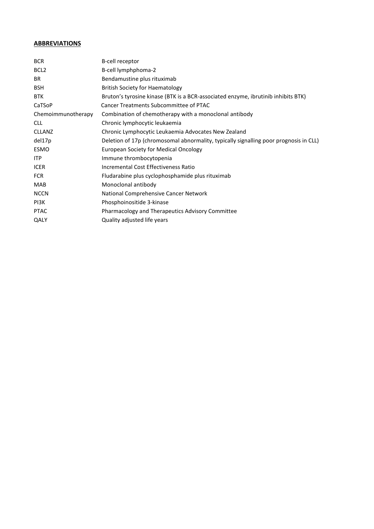# **ABBREVIATIONS**

| <b>BCR</b>         | B-cell receptor                                                                       |
|--------------------|---------------------------------------------------------------------------------------|
| BCL <sub>2</sub>   | B-cell lymphphoma-2                                                                   |
| BR.                | Bendamustine plus rituximab                                                           |
| <b>BSH</b>         | <b>British Society for Haematology</b>                                                |
| <b>BTK</b>         | Bruton's tyrosine kinase (BTK is a BCR-associated enzyme, ibrutinib inhibits BTK)     |
| CaTSoP             | <b>Cancer Treatments Subcommittee of PTAC</b>                                         |
| Chemoimmunotherapy | Combination of chemotherapy with a monoclonal antibody                                |
| <b>CLL</b>         | Chronic lymphocytic leukaemia                                                         |
| <b>CLLANZ</b>      | Chronic Lymphocytic Leukaemia Advocates New Zealand                                   |
| del17p             | Deletion of 17p (chromosomal abnormality, typically signalling poor prognosis in CLL) |
| ESMO               | European Society for Medical Oncology                                                 |
| <b>ITP</b>         | Immune thrombocytopenia                                                               |
| <b>ICER</b>        | Incremental Cost Effectiveness Ratio                                                  |
| <b>FCR</b>         | Fludarabine plus cyclophosphamide plus rituximab                                      |
| <b>MAB</b>         | Monoclonal antibody                                                                   |
| <b>NCCN</b>        | National Comprehensive Cancer Network                                                 |
| PI3K               | Phosphoinositide 3-kinase                                                             |
| <b>PTAC</b>        | Pharmacology and Therapeutics Advisory Committee                                      |
| QALY               | Quality adjusted life years                                                           |
|                    |                                                                                       |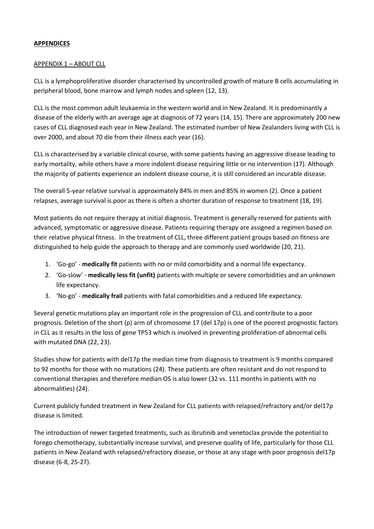## **APPENDICES**

#### APPENDIX 1 – ABOUT CLL

CLL is a lymphoproliferative disorder characterised by uncontrolled growth of mature B cells accumulating in peripheral blood, bone marrow and lymph nodes and spleen (12, 13).

CLL is the most common adult leukaemia in the western world and in New Zealand. It is predominantly a disease of the elderly with an average age at diagnosis of 72 years (14, 15). There are approximately 200 new cases of CLL diagnosed each year in New Zealand. The estimated number of New Zealanders living with CLL is over 2000, and about 70 die from their illness each year (16).

CLL is characterised by a variable clinical course, with some patients having an aggressive disease leading to early mortality, while others have a more indolent disease requiring little or no intervention (17). Although the majority of patients experience an indolent disease course, it is still considered an incurable disease.

The overall 5-year relative survival is approximately 84% in men and 85% in women (2). Once a patient relapses, average survival is poor as there is often a shorter duration of response to treatment (18, 19).

Most patients do not require therapy at initial diagnosis. Treatment is generally reserved for patients with advanced, symptomatic or aggressive disease. Patients requiring therapy are assigned a regimen based on their relative physical fitness. In the treatment of CLL, three different patient groups based on fitness are distinguished to help guide the approach to therapy and are commonly used worldwide (20, 21).

- 1. 'Go-go' **medically fit** patients with no or mild comorbidity and a normal life expectancy.
- 2. 'Go-slow' **medically less fit (unfit)** patients with multiple or severe comorbidities and an unknown life expectancy.
- 3. 'No-go' **medically frail** patients with fatal comorbidities and a reduced life expectancy.

Several genetic mutations play an important role in the progression of CLL and contribute to a poor prognosis. Deletion of the short (p) arm of chromosome 17 (del 17p) is one of the poorest prognostic factors in CLL as it results in the loss of gene TP53 which is involved in preventing proliferation of abnormal cells with mutated DNA (22, 23).

Studies show for patients with del17p the median time from diagnosis to treatment is 9 months compared to 92 months for those with no mutations (24). These patients are often resistant and do not respond to conventional therapies and therefore median OS is also lower (32 vs. 111 months in patients with no abnormalities) (24).

Current publicly funded treatment in New Zealand for CLL patients with relapsed/refractory and/or del17p disease is limited.

The introduction of newer targeted treatments, such as ibrutinib and venetoclax provide the potential to forego chemotherapy, substantially increase survival, and preserve quality of life, particularly for those CLL patients in New Zealand with relapsed/refractory disease, or those at any stage with poor prognosis del17p disease (6-8, 25-27).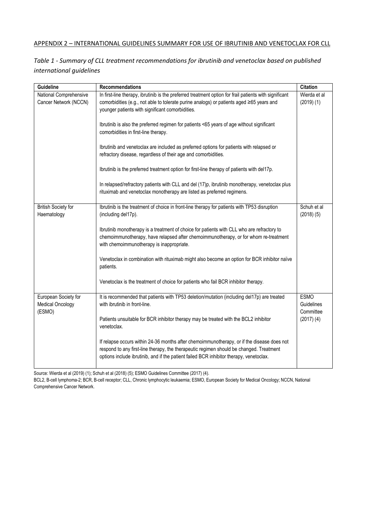# APPENDIX 2 – INTERNATIONAL GUIDELINES SUMMARY FOR USE OF IBRUTINIB AND VENETOCLAX FOR CLL

*Table 1 - Summary of CLL treatment recommendations for ibrutinib and venetoclax based on published international guidelines*

| Guideline                                                 | <b>Recommendations</b>                                                                                                                                                                                                                                                           | <b>Citation</b>                        |
|-----------------------------------------------------------|----------------------------------------------------------------------------------------------------------------------------------------------------------------------------------------------------------------------------------------------------------------------------------|----------------------------------------|
| National Comprehensive<br>Cancer Network (NCCN)           | In first-line therapy, ibrutinib is the preferred treatment option for frail patients with significant<br>comorbidities (e.g., not able to tolerate purine analogs) or patients aged ≥65 years and<br>younger patients with significant comorbidities.                           | Wierda et al<br>(2019)(1)              |
|                                                           | Ibrutinib is also the preferred regimen for patients <65 years of age without significant<br>comorbidities in first-line therapy.                                                                                                                                                |                                        |
|                                                           | Ibrutinib and venetoclax are included as preferred options for patients with relapsed or<br>refractory disease, regardless of their age and comorbidities.                                                                                                                       |                                        |
|                                                           | Ibrutinib is the preferred treatment option for first-line therapy of patients with del17p.                                                                                                                                                                                      |                                        |
|                                                           | In relapsed/refractory patients with CLL and del (17)p, ibrutinib monotherapy, venetoclax plus<br>rituximab and venetoclax monotherapy are listed as preferred regimens.                                                                                                         |                                        |
| <b>British Society for</b><br>Haematology                 | Ibrutinib is the treatment of choice in front-line therapy for patients with TP53 disruption<br>(including del17p).                                                                                                                                                              | Schuh et al<br>(2018)(5)               |
|                                                           | Ibrutinib monotherapy is a treatment of choice for patients with CLL who are refractory to<br>chemoimmunotherapy, have relapsed after chemoimmunotherapy, or for whom re-treatment<br>with chemoimmunotherapy is inappropriate.                                                  |                                        |
|                                                           | Venetoclax in combination with rituximab might also become an option for BCR inhibitor naïve<br>patients.                                                                                                                                                                        |                                        |
|                                                           | Venetoclax is the treatment of choice for patients who fail BCR inhibitor therapy.                                                                                                                                                                                               |                                        |
| European Society for<br><b>Medical Oncology</b><br>(ESMO) | It is recommended that patients with TP53 deletion/mutation (including del17p) are treated<br>with ibrutinib in front-line.                                                                                                                                                      | <b>ESMO</b><br>Guidelines<br>Committee |
|                                                           | Patients unsuitable for BCR inhibitor therapy may be treated with the BCL2 inhibitor<br>venetoclax.                                                                                                                                                                              | (2017)(4)                              |
|                                                           | If relapse occurs within 24-36 months after chemoimmunotherapy, or if the disease does not<br>respond to any first-line therapy, the therapeutic regimen should be changed. Treatment<br>options include ibrutinib, and if the patient failed BCR inhibitor therapy, venetoclax. |                                        |

Source: Wierda et al (2019) (1); Schuh et al (2018) (5); ESMO Guidelines Committee (2017) (4).

BCL2, B-cell lymphoma-2; BCR, B-cell receptor; CLL, Chronic lymphocytic leukaemia; ESMO, European Society for Medical Oncology; NCCN, National Comprehensive Cancer Network.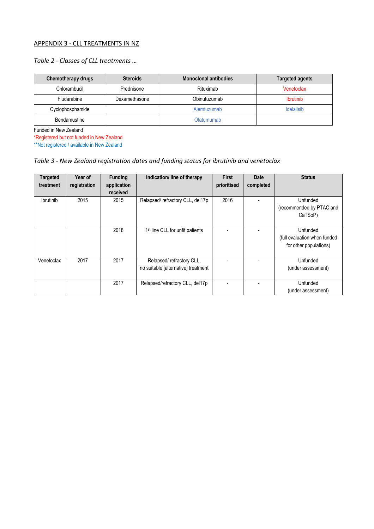# APPENDIX 3 - CLL TREATMENTS IN NZ

# *Table 2 - Classes of CLL treatments …*

| Chemotherapy drugs | <b>Steroids</b> | <b>Monoclonal antibodies</b> | <b>Targeted agents</b> |
|--------------------|-----------------|------------------------------|------------------------|
| Chlorambucil       | Prednisone      | Rituximab                    | Venetoclax             |
| <b>Fludarabine</b> | Dexamethasone   | Obinutuzumab                 | <b>Ibrutinib</b>       |
| Cyclophosphamide   |                 | Alemtuzumab                  | <b>Idelalisib</b>      |
| Bendamustine       |                 | Ofatumumab                   |                        |

Funded in New Zealand

\*Registered but not funded in New Zealand

\*\*Not registered / available in New Zealand

# *Table 3 - New Zealand registration dates and funding status for ibrutinib and venetoclax*

| <b>Targeted</b><br>treatment | Year of<br>registration | <b>Funding</b><br>application<br>received | Indication/ line of therapy                                     | <b>First</b><br>prioritised | Date<br>completed | <b>Status</b>                                                      |
|------------------------------|-------------------------|-------------------------------------------|-----------------------------------------------------------------|-----------------------------|-------------------|--------------------------------------------------------------------|
| Ibrutinib                    | 2015                    | 2015                                      | Relapsed/refractory CLL, del17p                                 | 2016                        |                   | Unfunded<br>(recommended by PTAC and<br>CaTSoP)                    |
|                              |                         | 2018                                      | 1 <sup>st</sup> line CLL for unfit patients                     |                             |                   | Unfunded<br>(full evaluation when funded<br>for other populations) |
| Venetoclax                   | 2017                    | 2017                                      | Relapsed/refractory CLL,<br>no suitable [alternative] treatment |                             |                   | Unfunded<br>(under assessment)                                     |
|                              |                         | 2017                                      | Relapsed/refractory CLL, del17p                                 |                             |                   | Unfunded<br>(under assessment)                                     |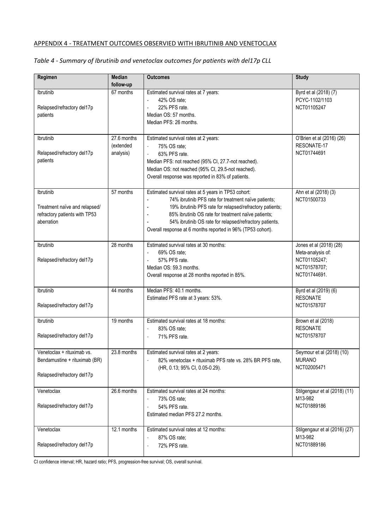# APPENDIX 4 - TREATMENT OUTCOMES OBSERVIED WITH IBRUTINIB AND VENETOCLAX

# *Table 4 - Summary of Ibrutinib and venetoclax outcomes for patients with del17p CLL*

| Regimen                                                     | Median        | <b>Outcomes</b>                                                                                         | <b>Study</b>                        |
|-------------------------------------------------------------|---------------|---------------------------------------------------------------------------------------------------------|-------------------------------------|
|                                                             | follow-up     |                                                                                                         |                                     |
| Ibrutinib                                                   | 67 months     | Estimated survival rates at 7 years:                                                                    | Byrd et al (2018) (7)               |
|                                                             |               | 42% OS rate;<br>÷,                                                                                      | PCYC-1102/1103                      |
| Relapsed/refractory del17p                                  |               | 22% PFS rate.<br>$\overline{a}$                                                                         | NCT01105247                         |
| patients                                                    |               | Median OS: 57 months.                                                                                   |                                     |
|                                                             |               | Median PFS: 26 months.                                                                                  |                                     |
|                                                             |               |                                                                                                         |                                     |
| Ibrutinib                                                   | 27.6 months   | Estimated survival rates at 2 years:                                                                    | O'Brien et al (2016) (26)           |
|                                                             | (extended     | 75% OS rate;<br>$\overline{\phantom{a}}$                                                                | RESONATE-17                         |
| Relapsed/refractory del17p                                  | analysis)     | 63% PFS rate.<br>$\overline{\phantom{a}}$                                                               | NCT01744691                         |
| patients                                                    |               | Median PFS: not reached (95% CI, 27.7-not reached).                                                     |                                     |
|                                                             |               | Median OS: not reached (95% CI, 29.5-not reached).<br>Overall response was reported in 83% of patients. |                                     |
|                                                             |               |                                                                                                         |                                     |
| Ibrutinib                                                   | 57 months     | Estimated survival rates at 5 years in TP53 cohort:                                                     | Ahn et al (2018) (3)                |
|                                                             |               | 74% ibrutinib PFS rate for treatment naïve patients;                                                    | NCT01500733                         |
| Treatment naïve and relapsed/                               |               | 19% ibrutinib PFS rate for relapsed/refractory patients;                                                |                                     |
| refractory patients with TP53                               |               | 85% ibrutinib OS rate for treatment naïve patients;<br>÷                                                |                                     |
| aberration                                                  |               | 54% ibrutinib OS rate for relapsed/refractory patients.                                                 |                                     |
|                                                             |               | Overall response at 6 months reported in 96% (TP53 cohort).                                             |                                     |
| Ibrutinib                                                   | 28 months     | Estimated survival rates at 30 months:                                                                  | Jones et al (2018) (28)             |
|                                                             |               | 69% OS rate;<br>$\blacksquare$                                                                          | Meta-analysis of:                   |
| Relapsed/refractory del17p                                  |               | 57% PFS rate.<br>÷,                                                                                     | NCT01105247;                        |
|                                                             |               | Median OS: 59.3 months.                                                                                 | NCT01578707;                        |
|                                                             |               | Overall response at 28 months reported in 85%.                                                          | NCT01744691.                        |
|                                                             |               |                                                                                                         |                                     |
| Ibrutinib                                                   | 44 months     | Median PFS: 40.1 months.                                                                                | Byrd et al (2019) (6)               |
| Relapsed/refractory del17p                                  |               | Estimated PFS rate at 3 years: 53%.                                                                     | <b>RESONATE</b><br>NCT01578707      |
|                                                             |               |                                                                                                         |                                     |
| Ibrutinib                                                   | 19 months     | Estimated survival rates at 18 months:                                                                  | Brown et al (2018)                  |
|                                                             |               | 83% OS rate;<br>i,                                                                                      | <b>RESONATE</b>                     |
| Relapsed/refractory del17p                                  |               | 71% PFS rate.<br>$\overline{a}$                                                                         | NCT01578707                         |
|                                                             |               |                                                                                                         |                                     |
| Venetoclax + rituximab vs.<br>Bendamustine + rituximab (BR) | $23.8$ months | Estimated survival rates at 2 years:                                                                    | Seymour et al (2018) (10)<br>MURANO |
|                                                             |               | 82% venetoclax + rituximab PFS rate vs. 28% BR PFS rate,<br>(HR, 0.13; 95% CI, 0.05-0.29).              | NCT02005471                         |
| Relapsed/refractory del17p                                  |               |                                                                                                         |                                     |
|                                                             |               |                                                                                                         |                                     |
| Venetoclax                                                  | 26.6 months   | Estimated survival rates at 24 months:                                                                  | Stilgengaur et al (2018) (11)       |
|                                                             |               | 73% OS rate;<br>$\overline{a}$                                                                          | M13-982                             |
| Relapsed/refractory del17p                                  |               | 54% PFS rate.<br>$\qquad \qquad -$                                                                      | NCT01889186                         |
|                                                             |               | Estimated median PFS 27.2 months.                                                                       |                                     |
| Venetoclax                                                  | 12.1 months   | Estimated survival rates at 12 months:                                                                  | Stilgengaur et al (2016) (27)       |
|                                                             |               | 87% OS rate;<br>i,                                                                                      | M13-982                             |
| Relapsed/refractory del17p                                  |               | 72% PFS rate.<br>i,                                                                                     | NCT01889186                         |
|                                                             |               |                                                                                                         |                                     |

CI confidence interval; HR, hazard ratio; PFS, progression-free survival; OS, overall survival.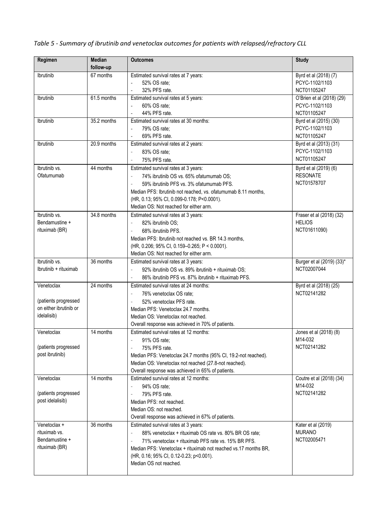| Regimen                | <b>Median</b><br>follow-up | <b>Outcomes</b>                                                                                            | <b>Study</b>                              |
|------------------------|----------------------------|------------------------------------------------------------------------------------------------------------|-------------------------------------------|
| Ibrutinib              | 67 months                  | Estimated survival rates at 7 years:                                                                       | Byrd et al (2018) (7)                     |
|                        |                            | 52% OS rate;<br>$\overline{\phantom{a}}$                                                                   | PCYC-1102/1103                            |
|                        |                            | 32% PFS rate.<br>$\frac{1}{2}$                                                                             | NCT01105247                               |
| Ibrutinib              | $61.5$ months              | Estimated survival rates at 5 years:                                                                       | O'Brien et al (2018) (29)                 |
|                        |                            | 60% OS rate;                                                                                               | PCYC-1102/1103                            |
|                        |                            | 44% PFS rate.<br>÷,                                                                                        | NCT01105247                               |
| Ibrutinib              | 35.2 months                | Estimated survival rates at 30 months:                                                                     | Byrd et al (2015) (30)                    |
|                        |                            | 79% OS rate:                                                                                               | PCYC-1102/1103                            |
|                        |                            | 69% PFS rate.<br>$\overline{a}$                                                                            | NCT01105247                               |
| Ibrutinib              | 20.9 months                | Estimated survival rates at 2 years:                                                                       | Byrd et al (2013) (31)                    |
|                        |                            | 83% OS rate;<br>$\overline{\phantom{a}}$                                                                   | PCYC-1102/1103                            |
|                        |                            | 75% PFS rate.<br>$\overline{\phantom{a}}$                                                                  | NCT01105247                               |
| Ibrutinib vs.          | 44 months                  | Estimated survival rates at 3 years:                                                                       | Byrd et al (2019) (6)                     |
| Ofatumumab             |                            | 74% ibrutinib OS vs. 65% ofatumumab OS;<br>$\overline{\phantom{a}}$                                        | <b>RESONATE</b>                           |
|                        |                            |                                                                                                            | NCT01578707                               |
|                        |                            | 59% ibrutinib PFS vs. 3% ofatumumab PFS.<br>Median PFS: Ibrutinib not reached, vs. ofatumumab 8.11 months, |                                           |
|                        |                            | (HR, 0.13; 95% CI, 0.099-0.178; P<0.0001).                                                                 |                                           |
|                        |                            | Median OS: Not reached for either arm.                                                                     |                                           |
| Ibrutinib vs.          | $34.8$ months              |                                                                                                            |                                           |
|                        |                            | Estimated survival rates at 3 years:                                                                       | Fraser et al (2018) (32)<br><b>HELIOS</b> |
| Bendamustine +         |                            | 82% ibrutinib OS:                                                                                          | NCT01611090)                              |
| rituximab (BR)         |                            | 68% ibrutinib PFS.                                                                                         |                                           |
|                        |                            | Median PFS: Ibrutinib not reached vs. BR 14.3 months,                                                      |                                           |
|                        |                            | (HR, 0.206; 95% CI, 0.159-0.265; P < 0.0001).                                                              |                                           |
|                        |                            | Median OS: Not reached for either arm.                                                                     |                                           |
| Ibrutinib vs.          | 36 months                  | Estimated survival rates at 3 years:                                                                       | Burger et al (2019) (33)*                 |
| Ibrutinib + rituximab  |                            | 92% ibrutinib OS vs. 89% ibrutinib + rituximab OS;                                                         | NCT02007044                               |
|                        |                            | 86% ibrutinib PFS vs. 87% ibrutinib + rituximab PFS.                                                       |                                           |
| Venetoclax             | 24 months                  | Estimated survival rates at 24 months:                                                                     | Byrd et al (2018) (25)                    |
|                        |                            | 76% venetoclax OS rate;<br>$\overline{\phantom{a}}$                                                        | NCT02141282                               |
| (patients progressed   |                            | 52% venetoclax PFS rate.                                                                                   |                                           |
| on either ibrutinib or |                            | Median PFS: Venetoclax 24.7 months.                                                                        |                                           |
| idelalisib)            |                            | Median OS: Venetoclax not reached.                                                                         |                                           |
|                        |                            | Overall response was achieved in 70% of patients.                                                          |                                           |
| Venetoclax             | 14 months                  | Estimated survival rates at 12 months:                                                                     | Jones et al (2018) (8)                    |
|                        |                            | 91% OS rate;                                                                                               | M14-032                                   |
| (patients progressed   |                            | 75% PFS rate.                                                                                              | NCT02141282                               |
| post ibrutinib)        |                            | Median PFS: Venetoclax 24.7 months (95% CI, 19.2-not reached).                                             |                                           |
|                        |                            | Median OS: Venetoclax not reached (27.8-not reached).                                                      |                                           |
|                        |                            | Overall response was achieved in 65% of patients.                                                          |                                           |
| Venetoclax             | 14 months                  | Estimated survival rates at 12 months:                                                                     | Coutre et al (2018) (34)                  |
|                        |                            | 94% OS rate;                                                                                               | M14-032                                   |
| (patients progressed   |                            | 79% PFS rate.<br>$\overline{\phantom{a}}$                                                                  | NCT02141282                               |
| post idelalisib)       |                            | Median PFS: not reached.                                                                                   |                                           |
|                        |                            | Median OS: not reached.                                                                                    |                                           |
|                        |                            | Overall response was achieved in 67% of patients.                                                          |                                           |
| Venetoclax +           | 36 months                  | Estimated survival rates at 3 years:                                                                       | Kater et al (2019)                        |
| rituximab vs.          |                            | 88% venetoclax + rituximab OS rate vs. 80% BR OS rate;                                                     | <b>MURANO</b>                             |
| Bendamustine +         |                            | 71% venetoclax + rituximab PFS rate vs. 15% BR PFS.                                                        | NCT02005471                               |
| rituximab (BR)         |                            | Median PFS: Venetoclax + rituximab not reached vs.17 months BR,                                            |                                           |
|                        |                            | (HR, 0.16; 95% CI, 0.12-0.23; p<0.001).                                                                    |                                           |
|                        |                            | Median OS not reached.                                                                                     |                                           |
|                        |                            |                                                                                                            |                                           |

*Table 5 - Summary of ibrutinib and venetoclax outcomes for patients with relapsed/refractory CLL*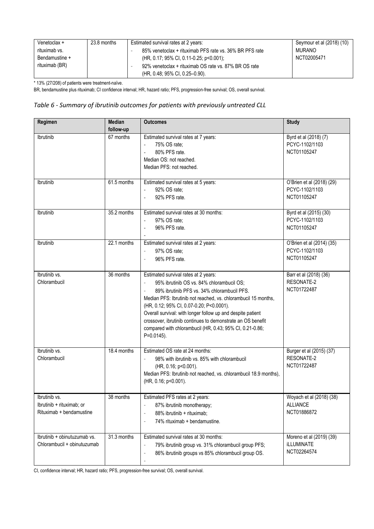| Venetoclax +   | 23.8 months | Estimated survival rates at 2 years:                    | Seymour et al (2018) (10) |
|----------------|-------------|---------------------------------------------------------|---------------------------|
| rituximab vs.  |             | 85% venetoclax + rituximab PFS rate vs. 36% BR PFS rate | MURANO                    |
| Bendamustine + |             | (HR, 0.17; 95% CI, 0.11-0.25; p<0.001);                 | NCT02005471               |
| rituximab (BR) |             | 92% venetoclax + rituximab OS rate vs. 87% BR OS rate   |                           |
|                |             | (HR, 0.48; 95% CI, 0.25–0.90).                          |                           |

\* 13% (27/208) of patients were treatment-naïve.

BR, bendamustine plus rituximab; CI confidence interval; HR, hazard ratio; PFS, progression-free survival; OS, overall survival.

## *Table 6 - Summary of ibrutinib outcomes for patients with previously untreated CLL*

| Regimen                                                                | <b>Median</b> | <b>Outcomes</b>                                                                                                                                                                                                                                                                                                                                                                                                                                                                    | <b>Study</b>                                                 |
|------------------------------------------------------------------------|---------------|------------------------------------------------------------------------------------------------------------------------------------------------------------------------------------------------------------------------------------------------------------------------------------------------------------------------------------------------------------------------------------------------------------------------------------------------------------------------------------|--------------------------------------------------------------|
|                                                                        | follow-up     |                                                                                                                                                                                                                                                                                                                                                                                                                                                                                    |                                                              |
| Ibrutinib                                                              | 67 months     | Estimated survival rates at 7 years:<br>75% OS rate;<br>80% PFS rate.<br>Median OS: not reached.<br>Median PFS: not reached.                                                                                                                                                                                                                                                                                                                                                       | Byrd et al (2018) (7)<br>PCYC-1102/1103<br>NCT01105247       |
| Ibrutinib                                                              | 61.5 months   | Estimated survival rates at 5 years:<br>92% OS rate;<br>92% PFS rate.<br>$\overline{\phantom{a}}$                                                                                                                                                                                                                                                                                                                                                                                  | O'Brien et al (2018) (29)<br>PCYC-1102/1103<br>NCT01105247   |
| Ibrutinib                                                              | 35.2 months   | Estimated survival rates at 30 months:<br>97% OS rate;<br>96% PFS rate.<br>$\overline{\phantom{a}}$                                                                                                                                                                                                                                                                                                                                                                                | Byrd et al (2015) (30)<br>PCYC-1102/1103<br>NCT01105247      |
| Ibrutinib                                                              | 22.1 months   | Estimated survival rates at 2 years:<br>97% OS rate;<br>$\overline{\phantom{a}}$<br>96% PFS rate.<br>$\overline{\phantom{a}}$                                                                                                                                                                                                                                                                                                                                                      | O'Brien et al (2014) (35)<br>PCYC-1102/1103<br>NCT01105247   |
| Ibrutinib vs.<br>Chlorambucil                                          | 36 months     | Estimated survival rates at 2 years:<br>95% ibrutinib OS vs. 84% chlorambucil OS;<br>$\overline{\phantom{a}}$<br>89% ibrutinib PFS vs. 34% chlorambucil PFS.<br>Median PFS: Ibrutinib not reached, vs. chlorambucil 15 months,<br>(HR, 0.12; 95% CI, 0.07-0.20; P<0.0001).<br>Overall survival: with longer follow up and despite patient<br>crossover, ibrutinib continues to demonstrate an OS benefit<br>compared with chlorambucil (HR, 0.43; 95% CI, 0.21-0.86;<br>P=0.0145). | Barr et al (2018) (36)<br>RESONATE-2<br>NCT01722487          |
| Ibrutinib vs.<br>Chlorambucil                                          | 18.4 months   | Estimated OS rate at 24 months:<br>98% with ibrutinib vs. 85% with chlorambucil<br>(HR, 0.16; p<0.001).<br>Median PFS: Ibrutinib not reached, vs. chlorambucil 18.9 months),<br>(HR, 0.16; p<0.001).                                                                                                                                                                                                                                                                               | Burger et al (2015) (37)<br>RESONATE-2<br>NCT01722487        |
| Ibrutinib vs.<br>Ibrutinib + rituximab; or<br>Rituximab + bendamustine | 38 months     | Estimated PFS rates at 2 years:<br>87% ibrutinib monotherapy;<br>$\overline{\phantom{a}}$<br>88% ibrutinib + rituximab;<br>٠<br>74% rituximab + bendamustine.                                                                                                                                                                                                                                                                                                                      | Woyach et al (2018) (38)<br><b>ALLIANCE</b><br>NCT01886872   |
| Ibrutinib + obinutuzumab vs.<br>Chlorambucil + obinutuzumab            | 31.3 months   | Estimated survival rates at 30 months:<br>79% ibrutinib group vs. 31% chlorambucil group PFS;<br>$\overline{\phantom{a}}$<br>86% ibrutinib groups vs 85% chlorambucil group OS.<br>$\overline{\phantom{a}}$                                                                                                                                                                                                                                                                        | Moreno et al (2019) (39)<br><b>iLLUMINATE</b><br>NCT02264574 |

CI, confidence interval; HR, hazard ratio; PFS, progression-free survival; OS, overall survival.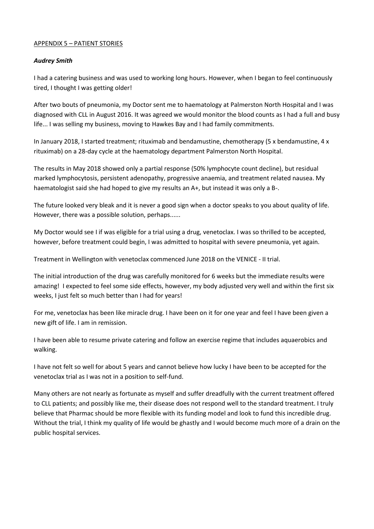#### APPENDIX 5 – PATIENT STORIES

## *Audrey Smith*

I had a catering business and was used to working long hours. However, when I began to feel continuously tired, I thought I was getting older!

After two bouts of pneumonia, my Doctor sent me to haematology at Palmerston North Hospital and I was diagnosed with CLL in August 2016. It was agreed we would monitor the blood counts as I had a full and busy life... I was selling my business, moving to Hawkes Bay and I had family commitments.

In January 2018, I started treatment; rituximab and bendamustine, chemotherapy (5 x bendamustine, 4 x rituximab) on a 28-day cycle at the haematology department Palmerston North Hospital.

The results in May 2018 showed only a partial response (50% lymphocyte count decline), but residual marked lymphocytosis, persistent adenopathy, progressive anaemia, and treatment related nausea. My haematologist said she had hoped to give my results an A+, but instead it was only a B-.

The future looked very bleak and it is never a good sign when a doctor speaks to you about quality of life. However, there was a possible solution, perhaps......

My Doctor would see I if was eligible for a trial using a drug, venetoclax. I was so thrilled to be accepted, however, before treatment could begin, I was admitted to hospital with severe pneumonia, yet again.

Treatment in Wellington with venetoclax commenced June 2018 on the VENICE - II trial.

The initial introduction of the drug was carefully monitored for 6 weeks but the immediate results were amazing! I expected to feel some side effects, however, my body adjusted very well and within the first six weeks, I just felt so much better than I had for years!

For me, venetoclax has been like miracle drug. I have been on it for one year and feel I have been given a new gift of life. I am in remission.

I have been able to resume private catering and follow an exercise regime that includes aquaerobics and walking.

I have not felt so well for about 5 years and cannot believe how lucky I have been to be accepted for the venetoclax trial as I was not in a position to self-fund.

Many others are not nearly as fortunate as myself and suffer dreadfully with the current treatment offered to CLL patients; and possibly like me, their disease does not respond well to the standard treatment. I truly believe that Pharmac should be more flexible with its funding model and look to fund this incredible drug. Without the trial, I think my quality of life would be ghastly and I would become much more of a drain on the public hospital services.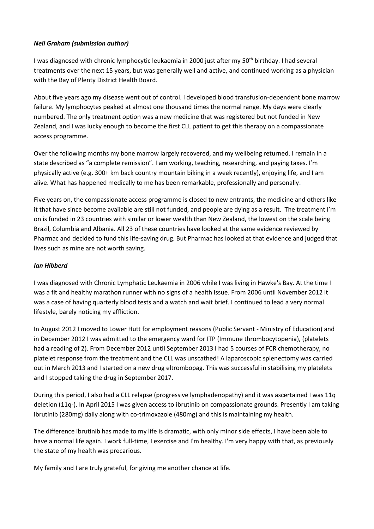# *Neil Graham (submission author)*

I was diagnosed with chronic lymphocytic leukaemia in 2000 just after my 50<sup>th</sup> birthday. I had several treatments over the next 15 years, but was generally well and active, and continued working as a physician with the Bay of Plenty District Health Board.

About five years ago my disease went out of control. I developed blood transfusion-dependent bone marrow failure. My lymphocytes peaked at almost one thousand times the normal range. My days were clearly numbered. The only treatment option was a new medicine that was registered but not funded in New Zealand, and I was lucky enough to become the first CLL patient to get this therapy on a compassionate access programme.

Over the following months my bone marrow largely recovered, and my wellbeing returned. I remain in a state described as "a complete remission". I am working, teaching, researching, and paying taxes. I'm physically active (e.g. 300+ km back country mountain biking in a week recently), enjoying life, and I am alive. What has happened medically to me has been remarkable, professionally and personally.

Five years on, the compassionate access programme is closed to new entrants, the medicine and others like it that have since become available are still not funded, and people are dying as a result. The treatment I'm on is funded in 23 countries with similar or lower wealth than New Zealand, the lowest on the scale being Brazil, Columbia and Albania. All 23 of these countries have looked at the same evidence reviewed by Pharmac and decided to fund this life-saving drug. But Pharmac has looked at that evidence and judged that lives such as mine are not worth saving.

# *Ian Hibberd*

I was diagnosed with Chronic Lymphatic Leukaemia in 2006 while I was living in Hawke's Bay. At the time I was a fit and healthy marathon runner with no signs of a health issue. From 2006 until November 2012 it was a case of having quarterly blood tests and a watch and wait brief. I continued to lead a very normal lifestyle, barely noticing my affliction.

In August 2012 I moved to Lower Hutt for employment reasons (Public Servant - Ministry of Education) and in December 2012 I was admitted to the emergency ward for ITP (Immune thrombocytopenia), (platelets had a reading of 2). From December 2012 until September 2013 I had 5 courses of FCR chemotherapy, no platelet response from the treatment and the CLL was unscathed! A laparoscopic splenectomy was carried out in March 2013 and I started on a new drug eltrombopag. This was successful in stabilising my platelets and I stopped taking the drug in September 2017.

During this period, I also had a CLL relapse (progressive lymphadenopathy) and it was ascertained I was 11q deletion (11q-). In April 2015 I was given access to ibrutinib on compassionate grounds. Presently I am taking ibrutinib (280mg) daily along with co-trimoxazole (480mg) and this is maintaining my health.

The difference ibrutinib has made to my life is dramatic, with only minor side effects, I have been able to have a normal life again. I work full-time, I exercise and I'm healthy. I'm very happy with that, as previously the state of my health was precarious.

My family and I are truly grateful, for giving me another chance at life.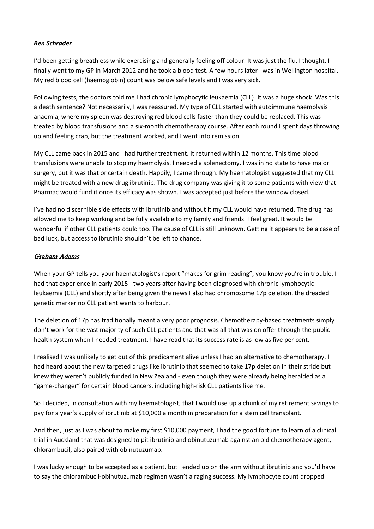# *Ben Schrader*

I'd been getting breathless while exercising and generally feeling off colour. It was just the flu, I thought. I finally went to my GP in March 2012 and he took a blood test. A few hours later I was in Wellington hospital. My red blood cell (haemoglobin) count was below safe levels and I was very sick.

Following tests, the doctors told me I had chronic lymphocytic leukaemia (CLL). It was a huge shock. Was this a death sentence? Not necessarily, I was reassured. My type of CLL started with autoimmune haemolysis anaemia, where my spleen was destroying red blood cells faster than they could be replaced. This was treated by blood transfusions and a six-month chemotherapy course. After each round I spent days throwing up and feeling crap, but the treatment worked, and I went into remission.

My CLL came back in 2015 and I had further treatment. It returned within 12 months. This time blood transfusions were unable to stop my haemolysis. I needed a splenectomy. I was in no state to have major surgery, but it was that or certain death. Happily, I came through. My haematologist suggested that my CLL might be treated with a new drug ibrutinib. The drug company was giving it to some patients with view that Pharmac would fund it once its efficacy was shown. I was accepted just before the window closed.

I've had no discernible side effects with ibrutinib and without it my CLL would have returned. The drug has allowed me to keep working and be fully available to my family and friends. I feel great. It would be wonderful if other CLL patients could too. The cause of CLL is still unknown. Getting it appears to be a case of bad luck, but access to ibrutinib shouldn't be left to chance.

# Graham Adams

When your GP tells you your haematologist's report "makes for grim reading", you know you're in trouble. I had that experience in early 2015 - two years after having been diagnosed with chronic lymphocytic leukaemia (CLL) and shortly after being given the news I also had chromosome 17p deletion, the dreaded genetic marker no CLL patient wants to harbour.

The deletion of 17p has traditionally meant a very poor prognosis. Chemotherapy-based treatments simply don't work for the vast majority of such CLL patients and that was all that was on offer through the public health system when I needed treatment. I have read that its success rate is as low as five per cent.

I realised I was unlikely to get out of this predicament alive unless I had an alternative to chemotherapy. I had heard about the new targeted drugs like ibrutinib that seemed to take 17p deletion in their stride but I knew they weren't publicly funded in New Zealand - even though they were already being heralded as a "game-changer" for certain blood cancers, including high-risk CLL patients like me.

So I decided, in consultation with my haematologist, that I would use up a chunk of my retirement savings to pay for a year's supply of ibrutinib at \$10,000 a month in preparation for a stem cell transplant.

And then, just as I was about to make my first \$10,000 payment, I had the good fortune to learn of a clinical trial in Auckland that was designed to pit ibrutinib and obinutuzumab against an old chemotherapy agent, chlorambucil, also paired with obinutuzumab.

I was lucky enough to be accepted as a patient, but I ended up on the arm without ibrutinib and you'd have to say the chlorambucil-obinutuzumab regimen wasn't a raging success. My lymphocyte count dropped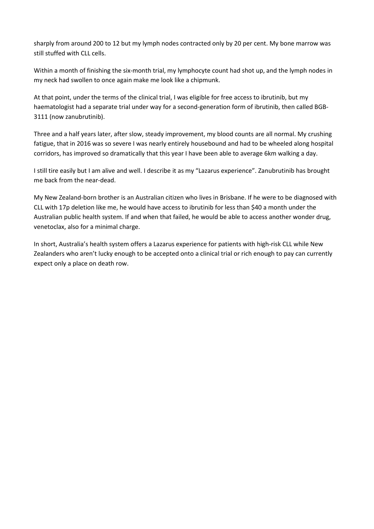sharply from around 200 to 12 but my lymph nodes contracted only by 20 per cent. My bone marrow was still stuffed with CLL cells.

Within a month of finishing the six-month trial, my lymphocyte count had shot up, and the lymph nodes in my neck had swollen to once again make me look like a chipmunk.

At that point, under the terms of the clinical trial, I was eligible for free access to ibrutinib, but my haematologist had a separate trial under way for a second-generation form of ibrutinib, then called BGB-3111 (now zanubrutinib).

Three and a half years later, after slow, steady improvement, my blood counts are all normal. My crushing fatigue, that in 2016 was so severe I was nearly entirely housebound and had to be wheeled along hospital corridors, has improved so dramatically that this year I have been able to average 6km walking a day.

I still tire easily but I am alive and well. I describe it as my "Lazarus experience". Zanubrutinib has brought me back from the near-dead.

My New Zealand-born brother is an Australian citizen who lives in Brisbane. If he were to be diagnosed with CLL with 17p deletion like me, he would have access to ibrutinib for less than \$40 a month under the Australian public health system. If and when that failed, he would be able to access another wonder drug, venetoclax, also for a minimal charge.

In short, Australia's health system offers a Lazarus experience for patients with high-risk CLL while New Zealanders who aren't lucky enough to be accepted onto a clinical trial or rich enough to pay can currently expect only a place on death row.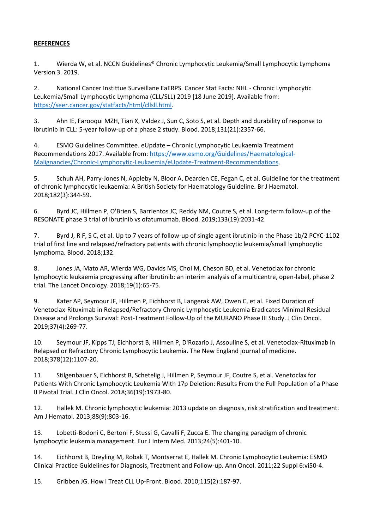## **REFERENCES**

1. Wierda W, et al. NCCN Guidelines® Chronic Lymphocytic Leukemia/Small Lymphocytic Lymphoma Version 3. 2019.

2. National Cancer Instittue Surveillane EaERPS. Cancer Stat Facts: NHL - Chronic Lymphocytic Leukemia/Small Lymphocytic Lymphoma (CLL/SLL) 2019 [18 June 2019]. Available from: [https://seer.cancer.gov/statfacts/html/cllsll.html.](https://seer.cancer.gov/statfacts/html/cllsll.html)

3. Ahn IE, Farooqui MZH, Tian X, Valdez J, Sun C, Soto S, et al. Depth and durability of response to ibrutinib in CLL: 5-year follow-up of a phase 2 study. Blood. 2018;131(21):2357-66.

4. ESMO Guidelines Committee. eUpdate – Chronic Lymphocytic Leukaemia Treatment Recommendations 2017. Available from: [https://www.esmo.org/Guidelines/Haematological-](https://www.esmo.org/Guidelines/Haematological-Malignancies/Chronic-Lymphocytic-Leukaemia/eUpdate-Treatment-Recommendations)[Malignancies/Chronic-Lymphocytic-Leukaemia/eUpdate-Treatment-Recommendations.](https://www.esmo.org/Guidelines/Haematological-Malignancies/Chronic-Lymphocytic-Leukaemia/eUpdate-Treatment-Recommendations)

5. Schuh AH, Parry-Jones N, Appleby N, Bloor A, Dearden CE, Fegan C, et al. Guideline for the treatment of chronic lymphocytic leukaemia: A British Society for Haematology Guideline. Br J Haematol. 2018;182(3):344-59.

6. Byrd JC, Hillmen P, O'Brien S, Barrientos JC, Reddy NM, Coutre S, et al. Long-term follow-up of the RESONATE phase 3 trial of ibrutinib vs ofatumumab. Blood. 2019;133(19):2031-42.

7. Byrd J, R F, S C, et al. Up to 7 years of follow-up of single agent ibrutinib in the Phase 1b/2 PCYC-1102 trial of first line and relapsed/refractory patients with chronic lymphocytic leukemia/small lymphocytic lymphoma. Blood. 2018;132.

8. Jones JA, Mato AR, Wierda WG, Davids MS, Choi M, Cheson BD, et al. Venetoclax for chronic lymphocytic leukaemia progressing after ibrutinib: an interim analysis of a multicentre, open-label, phase 2 trial. The Lancet Oncology. 2018;19(1):65-75.

9. Kater AP, Seymour JF, Hillmen P, Eichhorst B, Langerak AW, Owen C, et al. Fixed Duration of Venetoclax-Rituximab in Relapsed/Refractory Chronic Lymphocytic Leukemia Eradicates Minimal Residual Disease and Prolongs Survival: Post-Treatment Follow-Up of the MURANO Phase III Study. J Clin Oncol. 2019;37(4):269-77.

10. Seymour JF, Kipps TJ, Eichhorst B, Hillmen P, D'Rozario J, Assouline S, et al. Venetoclax-Rituximab in Relapsed or Refractory Chronic Lymphocytic Leukemia. The New England journal of medicine. 2018;378(12):1107-20.

11. Stilgenbauer S, Eichhorst B, Schetelig J, Hillmen P, Seymour JF, Coutre S, et al. Venetoclax for Patients With Chronic Lymphocytic Leukemia With 17p Deletion: Results From the Full Population of a Phase II Pivotal Trial. J Clin Oncol. 2018;36(19):1973-80.

12. Hallek M. Chronic lymphocytic leukemia: 2013 update on diagnosis, risk stratification and treatment. Am J Hematol. 2013;88(9):803-16.

13. Lobetti-Bodoni C, Bertoni F, Stussi G, Cavalli F, Zucca E. The changing paradigm of chronic lymphocytic leukemia management. Eur J Intern Med. 2013;24(5):401-10.

14. Eichhorst B, Dreyling M, Robak T, Montserrat E, Hallek M. Chronic Lymphocytic Leukemia: ESMO Clinical Practice Guidelines for Diagnosis, Treatment and Follow-up. Ann Oncol. 2011;22 Suppl 6:vi50-4.

15. Gribben JG. How I Treat CLL Up-Front. Blood. 2010;115(2):187-97.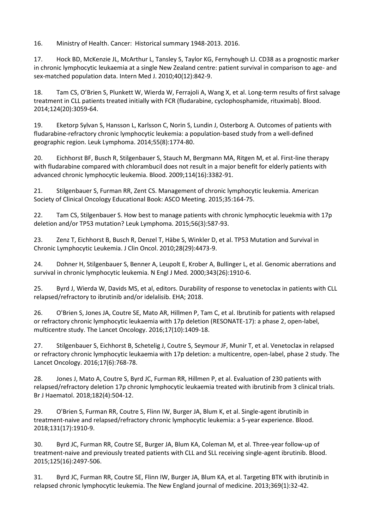16. Ministry of Health. Cancer: Historical summary 1948-2013. 2016.

17. Hock BD, McKenzie JL, McArthur L, Tansley S, Taylor KG, Fernyhough LJ. CD38 as a prognostic marker in chronic lymphocytic leukaemia at a single New Zealand centre: patient survival in comparison to age- and sex-matched population data. Intern Med J. 2010;40(12):842-9.

18. Tam CS, O'Brien S, Plunkett W, Wierda W, Ferrajoli A, Wang X, et al. Long-term results of first salvage treatment in CLL patients treated initially with FCR (fludarabine, cyclophosphamide, rituximab). Blood. 2014;124(20):3059-64.

19. Eketorp Sylvan S, Hansson L, Karlsson C, Norin S, Lundin J, Osterborg A. Outcomes of patients with fludarabine-refractory chronic lymphocytic leukemia: a population-based study from a well-defined geographic region. Leuk Lymphoma. 2014;55(8):1774-80.

20. Eichhorst BF, Busch R, Stilgenbauer S, Stauch M, Bergmann MA, Ritgen M, et al. First-line therapy with fludarabine compared with chlorambucil does not result in a major benefit for elderly patients with advanced chronic lymphocytic leukemia. Blood. 2009;114(16):3382-91.

21. Stilgenbauer S, Furman RR, Zent CS. Management of chronic lymphocytic leukemia. American Society of Clinical Oncology Educational Book: ASCO Meeting. 2015;35:164-75.

22. Tam CS, Stilgenbauer S. How best to manage patients with chronic lymphocytic leuekmia with 17p deletion and/or TP53 mutation? Leuk Lymphoma. 2015;56(3):587-93.

23. Zenz T, Eichhorst B, Busch R, Denzel T, Häbe S, Winkler D, et al. TP53 Mutation and Survival in Chronic Lymphocytic Leukemia. J Clin Oncol. 2010;28(29):4473-9.

24. Dohner H, Stilgenbauer S, Benner A, Leupolt E, Krober A, Bullinger L, et al. Genomic aberrations and survival in chronic lymphocytic leukemia. N Engl J Med. 2000;343(26):1910-6.

25. Byrd J, Wierda W, Davids MS, et al, editors. Durability of response to venetoclax in patients with CLL relapsed/refractory to ibrutinib and/or idelalisib. EHA; 2018.

26. O'Brien S, Jones JA, Coutre SE, Mato AR, Hillmen P, Tam C, et al. Ibrutinib for patients with relapsed or refractory chronic lymphocytic leukaemia with 17p deletion (RESONATE-17): a phase 2, open-label, multicentre study. The Lancet Oncology. 2016;17(10):1409-18.

27. Stilgenbauer S, Eichhorst B, Schetelig J, Coutre S, Seymour JF, Munir T, et al. Venetoclax in relapsed or refractory chronic lymphocytic leukaemia with 17p deletion: a multicentre, open-label, phase 2 study. The Lancet Oncology. 2016;17(6):768-78.

28. Jones J, Mato A, Coutre S, Byrd JC, Furman RR, Hillmen P, et al. Evaluation of 230 patients with relapsed/refractory deletion 17p chronic lymphocytic leukaemia treated with ibrutinib from 3 clinical trials. Br J Haematol. 2018;182(4):504-12.

29. O'Brien S, Furman RR, Coutre S, Flinn IW, Burger JA, Blum K, et al. Single-agent ibrutinib in treatment-naive and relapsed/refractory chronic lymphocytic leukemia: a 5-year experience. Blood. 2018;131(17):1910-9.

30. Byrd JC, Furman RR, Coutre SE, Burger JA, Blum KA, Coleman M, et al. Three-year follow-up of treatment-naive and previously treated patients with CLL and SLL receiving single-agent ibrutinib. Blood. 2015;125(16):2497-506.

31. Byrd JC, Furman RR, Coutre SE, Flinn IW, Burger JA, Blum KA, et al. Targeting BTK with ibrutinib in relapsed chronic lymphocytic leukemia. The New England journal of medicine. 2013;369(1):32-42.